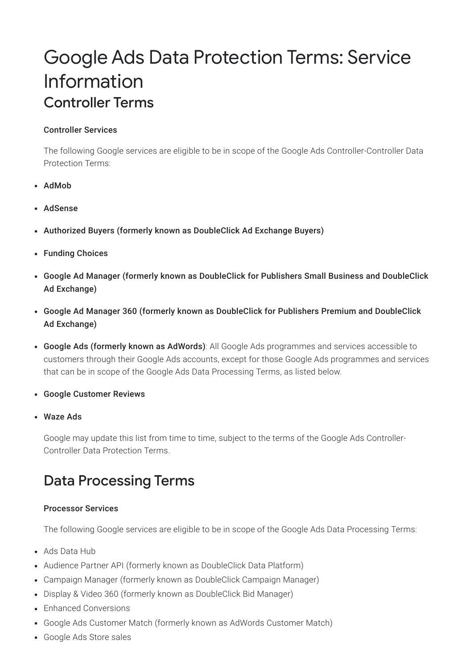# Google Ads Data Protection Terms: Service Information Controller Terms

#### Controller Services

The following Google services are eligible to be in scope of the Google Ads Controller-Controller Data Protection Terms:

- AdMob
- AdSense
- Authorized Buyers (formerly known as DoubleClick Ad Exchange Buyers)
- Funding Choices
- Google Ad Manager (formerly known as DoubleClick for Publishers Small Business and DoubleClick Ad Exchange)
- Google Ad Manager 360 (formerly known as DoubleClick for Publishers Premium and DoubleClick Ad Exchange)
- Google Ads (formerly known as AdWords): All Google Ads programmes and services accessible to customers through their Google Ads accounts, except for those Google Ads programmes and services that can be in scope of the Google Ads Data Processing Terms, as listed below.
- Google Customer Reviews
- Waze Ads

Google may update this list from time to time, subject to the terms of the Google Ads Controller-Controller Data Protection Terms.

## Data Processing Terms

#### Processor Services

The following Google services are eligible to be in scope of the Google Ads Data Processing Terms:

- Ads Data Hub
- Audience Partner API (formerly known as DoubleClick Data Platform)
- Campaign Manager (formerly known as DoubleClick Campaign Manager)
- Display & Video 360 (formerly known as DoubleClick Bid Manager)
- Enhanced Conversions
- Google Ads Customer Match (formerly known as AdWords Customer Match)
- Google Ads Store sales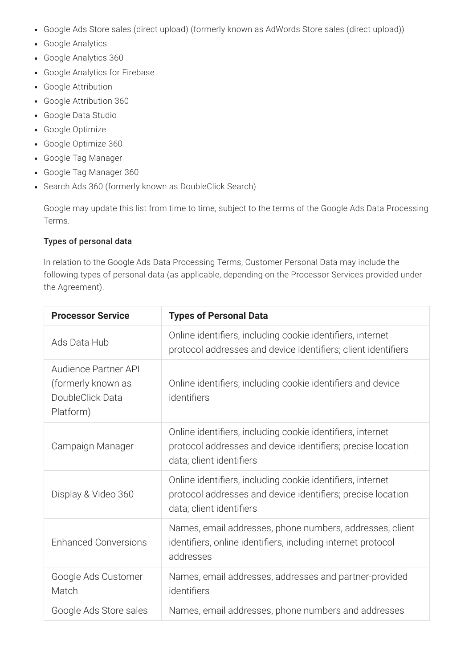- Google Ads Store sales (direct upload) (formerly known as AdWords Store sales (direct upload))
- Google Analytics
- Google Analytics 360
- Google Analytics for Firebase
- Google Attribution
- Google Attribution 360
- Google Data Studio
- Google Optimize
- Google Optimize 360
- Google Tag Manager
- Google Tag Manager 360
- Search Ads 360 (formerly known as DoubleClick Search)

Google may update this list from time to time, subject to the terms of the Google Ads Data Processing Terms.

#### Types of personal data

In relation to the Google Ads Data Processing Terms, Customer Personal Data may include the following types of personal data (as applicable, depending on the Processor Services provided under the Agreement).

| <b>Processor Service</b>                                                    | <b>Types of Personal Data</b>                                                                                                                         |
|-----------------------------------------------------------------------------|-------------------------------------------------------------------------------------------------------------------------------------------------------|
| Ads Data Hub                                                                | Online identifiers, including cookie identifiers, internet<br>protocol addresses and device identifiers; client identifiers                           |
| Audience Partner API<br>(formerly known as<br>DoubleClick Data<br>Platform) | Online identifiers, including cookie identifiers and device<br>identifiers                                                                            |
| Campaign Manager                                                            | Online identifiers, including cookie identifiers, internet<br>protocol addresses and device identifiers; precise location<br>data; client identifiers |
| Display & Video 360                                                         | Online identifiers, including cookie identifiers, internet<br>protocol addresses and device identifiers; precise location<br>data; client identifiers |
| <b>Enhanced Conversions</b>                                                 | Names, email addresses, phone numbers, addresses, client<br>identifiers, online identifiers, including internet protocol<br>addresses                 |
| Google Ads Customer<br>Match                                                | Names, email addresses, addresses and partner-provided<br>identifiers                                                                                 |
| Google Ads Store sales                                                      | Names, email addresses, phone numbers and addresses                                                                                                   |